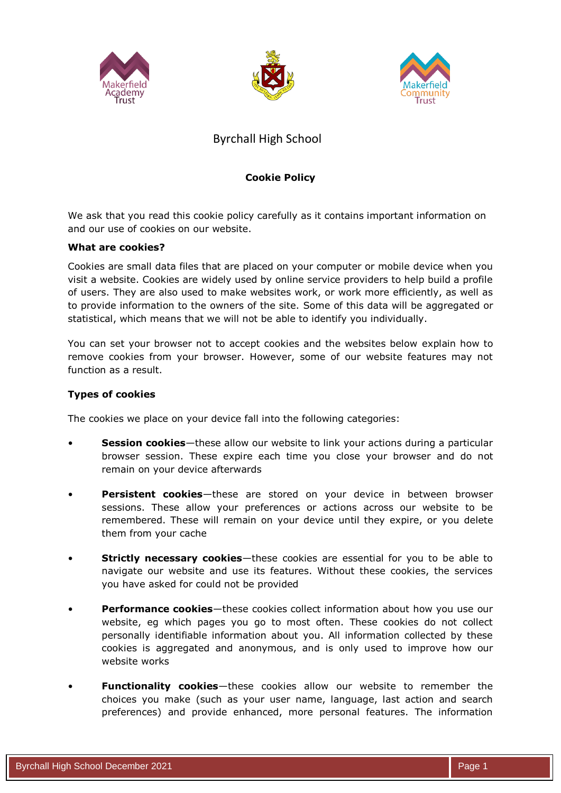





# Byrchall High School

## **Cookie Policy**

We ask that you read this cookie policy carefully as it contains important information on and our use of cookies on our website.

#### **What are cookies?**

Cookies are small data files that are placed on your computer or mobile device when you visit a website. Cookies are widely used by online service providers to help build a profile of users. They are also used to make websites work, or work more efficiently, as well as to provide information to the owners of the site. Some of this data will be aggregated or statistical, which means that we will not be able to identify you individually.

You can set your browser not to accept cookies and the websites below explain how to remove cookies from your browser. However, some of our website features may not function as a result.

#### **Types of cookies**

The cookies we place on your device fall into the following categories:

- **Session cookies**—these allow our website to link your actions during a particular browser session. These expire each time you close your browser and do not remain on your device afterwards
- **Persistent cookies**—these are stored on your device in between browser sessions. These allow your preferences or actions across our website to be remembered. These will remain on your device until they expire, or you delete them from your cache
- **Strictly necessary cookies**—these cookies are essential for you to be able to navigate our website and use its features. Without these cookies, the services you have asked for could not be provided
- **Performance cookies**—these cookies collect information about how you use our website, eg which pages you go to most often. These cookies do not collect personally identifiable information about you. All information collected by these cookies is aggregated and anonymous, and is only used to improve how our website works
- **Functionality cookies**—these cookies allow our website to remember the choices you make (such as your user name, language, last action and search preferences) and provide enhanced, more personal features. The information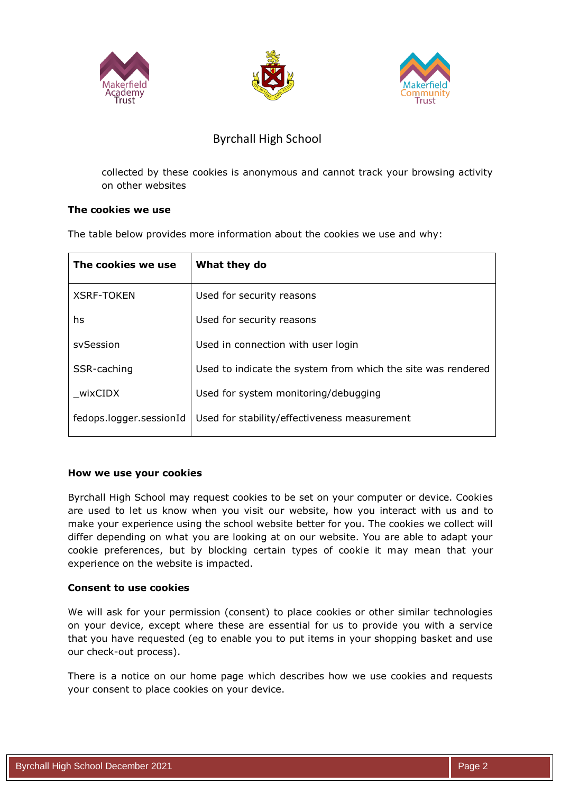





# Byrchall High School

collected by these cookies is anonymous and cannot track your browsing activity on other websites

## **The cookies we use**

The table below provides more information about the cookies we use and why:

| The cookies we use      | What they do                                                 |
|-------------------------|--------------------------------------------------------------|
| <b>XSRF-TOKEN</b>       | Used for security reasons                                    |
| hs                      | Used for security reasons                                    |
| sySession               | Used in connection with user login                           |
| SSR-caching             | Used to indicate the system from which the site was rendered |
| wixCIDX                 | Used for system monitoring/debugging                         |
| fedops.logger.sessionId | Used for stability/effectiveness measurement                 |
|                         |                                                              |

## **How we use your cookies**

Byrchall High School may request cookies to be set on your computer or device. Cookies are used to let us know when you visit our website, how you interact with us and to make your experience using the school website better for you. The cookies we collect will differ depending on what you are looking at on our website. You are able to adapt your cookie preferences, but by blocking certain types of cookie it may mean that your experience on the website is impacted.

## **Consent to use cookies**

We will ask for your permission (consent) to place cookies or other similar technologies on your device, except where these are essential for us to provide you with a service that you have requested (eg to enable you to put items in your shopping basket and use our check-out process).

There is a notice on our home page which describes how we use cookies and requests your consent to place cookies on your device.